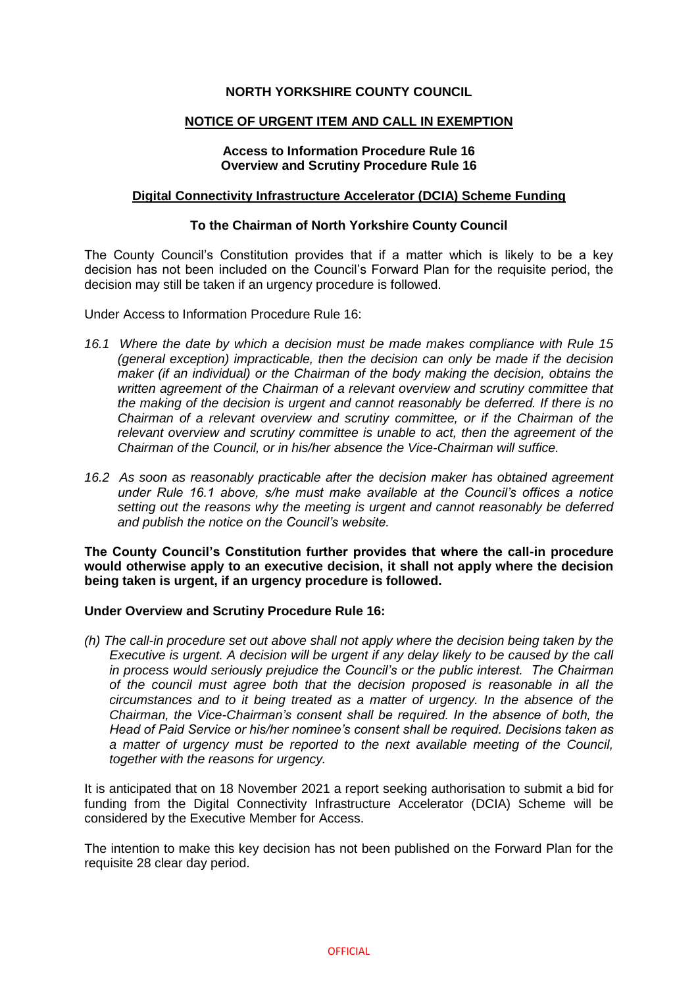# **NORTH YORKSHIRE COUNTY COUNCIL**

## **NOTICE OF URGENT ITEM AND CALL IN EXEMPTION**

# **Access to Information Procedure Rule 16 Overview and Scrutiny Procedure Rule 16**

## **Digital Connectivity Infrastructure Accelerator (DCIA) Scheme Funding**

## **To the Chairman of North Yorkshire County Council**

The County Council's Constitution provides that if a matter which is likely to be a key decision has not been included on the Council's Forward Plan for the requisite period, the decision may still be taken if an urgency procedure is followed.

Under Access to Information Procedure Rule 16:

- *16.1 Where the date by which a decision must be made makes compliance with Rule 15 (general exception) impracticable, then the decision can only be made if the decision maker (if an individual) or the Chairman of the body making the decision, obtains the written agreement of the Chairman of a relevant overview and scrutiny committee that the making of the decision is urgent and cannot reasonably be deferred. If there is no Chairman of a relevant overview and scrutiny committee, or if the Chairman of the relevant overview and scrutiny committee is unable to act, then the agreement of the Chairman of the Council, or in his/her absence the Vice-Chairman will suffice.*
- *16.2 As soon as reasonably practicable after the decision maker has obtained agreement under Rule 16.1 above, s/he must make available at the Council's offices a notice setting out the reasons why the meeting is urgent and cannot reasonably be deferred and publish the notice on the Council's website.*

**The County Council's Constitution further provides that where the call-in procedure would otherwise apply to an executive decision, it shall not apply where the decision being taken is urgent, if an urgency procedure is followed.**

#### **Under Overview and Scrutiny Procedure Rule 16:**

*(h) The call-in procedure set out above shall not apply where the decision being taken by the Executive is urgent. A decision will be urgent if any delay likely to be caused by the call in process would seriously prejudice the Council's or the public interest. The Chairman of the council must agree both that the decision proposed is reasonable in all the circumstances and to it being treated as a matter of urgency. In the absence of the Chairman, the Vice-Chairman's consent shall be required. In the absence of both, the Head of Paid Service or his/her nominee's consent shall be required. Decisions taken as a matter of urgency must be reported to the next available meeting of the Council, together with the reasons for urgency.*

It is anticipated that on 18 November 2021 a report seeking authorisation to submit a bid for funding from the Digital Connectivity Infrastructure Accelerator (DCIA) Scheme will be considered by the Executive Member for Access.

The intention to make this key decision has not been published on the Forward Plan for the requisite 28 clear day period.